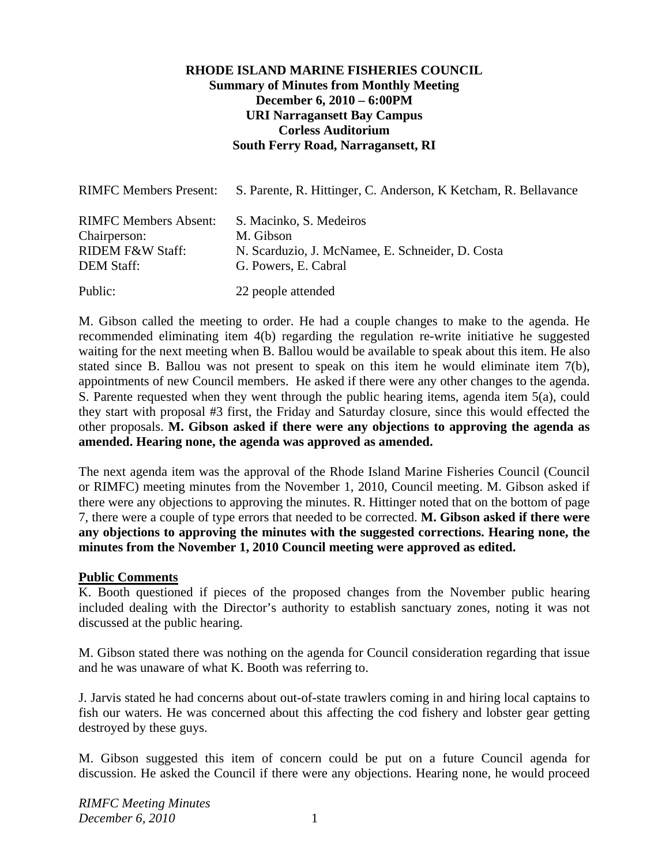### **RHODE ISLAND MARINE FISHERIES COUNCIL Summary of Minutes from Monthly Meeting December 6, 2010 – 6:00PM URI Narragansett Bay Campus Corless Auditorium South Ferry Road, Narragansett, RI**

| <b>RIMFC Members Present:</b>                                                                    | S. Parente, R. Hittinger, C. Anderson, K. Ketcham, R. Bellavance                                                 |
|--------------------------------------------------------------------------------------------------|------------------------------------------------------------------------------------------------------------------|
| <b>RIMFC Members Absent:</b><br>Chairperson:<br><b>RIDEM F&amp;W Staff:</b><br><b>DEM Staff:</b> | S. Macinko, S. Medeiros<br>M. Gibson<br>N. Scarduzio, J. McNamee, E. Schneider, D. Costa<br>G. Powers, E. Cabral |
| Public:                                                                                          | 22 people attended                                                                                               |

M. Gibson called the meeting to order. He had a couple changes to make to the agenda. He recommended eliminating item 4(b) regarding the regulation re-write initiative he suggested waiting for the next meeting when B. Ballou would be available to speak about this item. He also stated since B. Ballou was not present to speak on this item he would eliminate item 7(b), appointments of new Council members. He asked if there were any other changes to the agenda. S. Parente requested when they went through the public hearing items, agenda item 5(a), could they start with proposal #3 first, the Friday and Saturday closure, since this would effected the other proposals. **M. Gibson asked if there were any objections to approving the agenda as amended. Hearing none, the agenda was approved as amended.** 

The next agenda item was the approval of the Rhode Island Marine Fisheries Council (Council or RIMFC) meeting minutes from the November 1, 2010, Council meeting. M. Gibson asked if there were any objections to approving the minutes. R. Hittinger noted that on the bottom of page 7, there were a couple of type errors that needed to be corrected. **M. Gibson asked if there were any objections to approving the minutes with the suggested corrections. Hearing none, the minutes from the November 1, 2010 Council meeting were approved as edited.** 

#### **Public Comments**

K. Booth questioned if pieces of the proposed changes from the November public hearing included dealing with the Director's authority to establish sanctuary zones, noting it was not discussed at the public hearing.

M. Gibson stated there was nothing on the agenda for Council consideration regarding that issue and he was unaware of what K. Booth was referring to.

J. Jarvis stated he had concerns about out-of-state trawlers coming in and hiring local captains to fish our waters. He was concerned about this affecting the cod fishery and lobster gear getting destroyed by these guys.

M. Gibson suggested this item of concern could be put on a future Council agenda for discussion. He asked the Council if there were any objections. Hearing none, he would proceed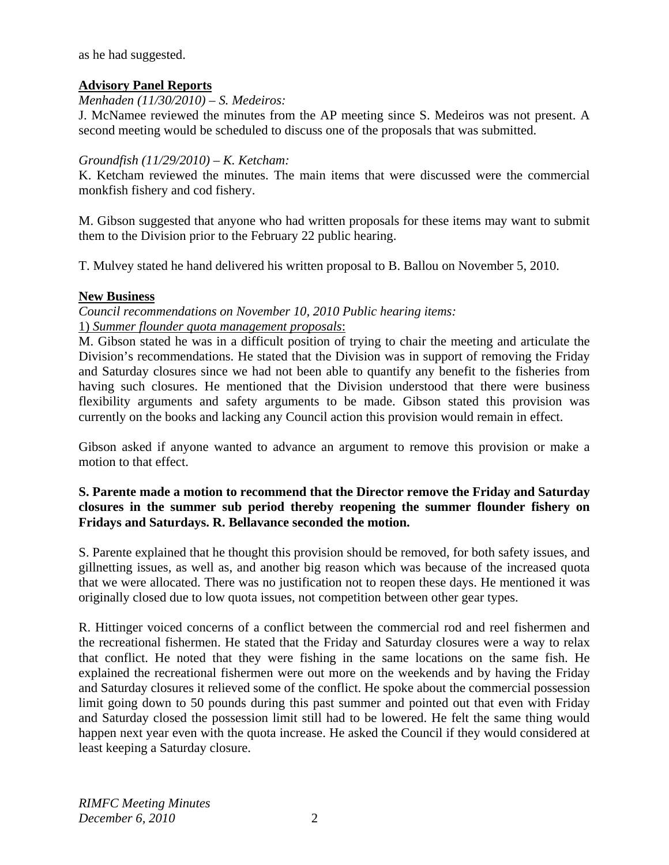as he had suggested.

# **Advisory Panel Reports**

## *Menhaden (11/30/2010) – S. Medeiros:*

J. McNamee reviewed the minutes from the AP meeting since S. Medeiros was not present. A second meeting would be scheduled to discuss one of the proposals that was submitted.

## *Groundfish (11/29/2010) – K. Ketcham:*

K. Ketcham reviewed the minutes. The main items that were discussed were the commercial monkfish fishery and cod fishery.

M. Gibson suggested that anyone who had written proposals for these items may want to submit them to the Division prior to the February 22 public hearing.

T. Mulvey stated he hand delivered his written proposal to B. Ballou on November 5, 2010.

## **New Business**

*Council recommendations on November 10, 2010 Public hearing items:*  1) *Summer flounder quota management proposals*:

M. Gibson stated he was in a difficult position of trying to chair the meeting and articulate the Division's recommendations. He stated that the Division was in support of removing the Friday and Saturday closures since we had not been able to quantify any benefit to the fisheries from having such closures. He mentioned that the Division understood that there were business flexibility arguments and safety arguments to be made. Gibson stated this provision was currently on the books and lacking any Council action this provision would remain in effect.

Gibson asked if anyone wanted to advance an argument to remove this provision or make a motion to that effect.

## **S. Parente made a motion to recommend that the Director remove the Friday and Saturday closures in the summer sub period thereby reopening the summer flounder fishery on Fridays and Saturdays. R. Bellavance seconded the motion.**

S. Parente explained that he thought this provision should be removed, for both safety issues, and gillnetting issues, as well as, and another big reason which was because of the increased quota that we were allocated. There was no justification not to reopen these days. He mentioned it was originally closed due to low quota issues, not competition between other gear types.

R. Hittinger voiced concerns of a conflict between the commercial rod and reel fishermen and the recreational fishermen. He stated that the Friday and Saturday closures were a way to relax that conflict. He noted that they were fishing in the same locations on the same fish. He explained the recreational fishermen were out more on the weekends and by having the Friday and Saturday closures it relieved some of the conflict. He spoke about the commercial possession limit going down to 50 pounds during this past summer and pointed out that even with Friday and Saturday closed the possession limit still had to be lowered. He felt the same thing would happen next year even with the quota increase. He asked the Council if they would considered at least keeping a Saturday closure.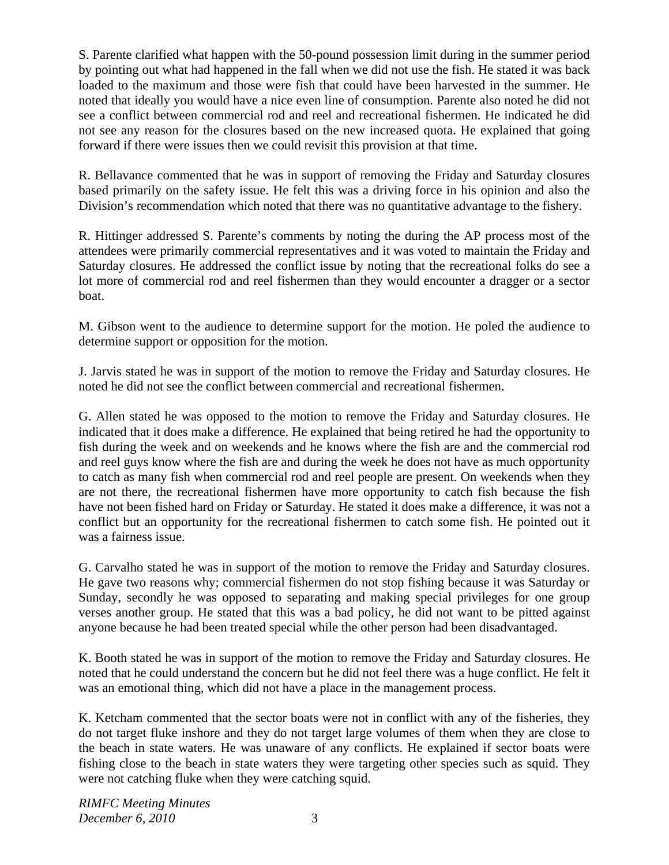S. Parente clarified what happen with the 50-pound possession limit during in the summer period by pointing out what had happened in the fall when we did not use the fish. He stated it was back loaded to the maximum and those were fish that could have been harvested in the summer. He noted that ideally you would have a nice even line of consumption. Parente also noted he did not see a conflict between commercial rod and reel and recreational fishermen. He indicated he did not see any reason for the closures based on the new increased quota. He explained that going forward if there were issues then we could revisit this provision at that time.

R. Bellavance commented that he was in support of removing the Friday and Saturday closures based primarily on the safety issue. He felt this was a driving force in his opinion and also the Division's recommendation which noted that there was no quantitative advantage to the fishery.

R. Hittinger addressed S. Parente's comments by noting the during the AP process most of the attendees were primarily commercial representatives and it was voted to maintain the Friday and Saturday closures. He addressed the conflict issue by noting that the recreational folks do see a lot more of commercial rod and reel fishermen than they would encounter a dragger or a sector boat.

M. Gibson went to the audience to determine support for the motion. He poled the audience to determine support or opposition for the motion.

J. Jarvis stated he was in support of the motion to remove the Friday and Saturday closures. He noted he did not see the conflict between commercial and recreational fishermen.

G. Allen stated he was opposed to the motion to remove the Friday and Saturday closures. He indicated that it does make a difference. He explained that being retired he had the opportunity to fish during the week and on weekends and he knows where the fish are and the commercial rod and reel guys know where the fish are and during the week he does not have as much opportunity to catch as many fish when commercial rod and reel people are present. On weekends when they are not there, the recreational fishermen have more opportunity to catch fish because the fish have not been fished hard on Friday or Saturday. He stated it does make a difference, it was not a conflict but an opportunity for the recreational fishermen to catch some fish. He pointed out it was a fairness issue.

G. Carvalho stated he was in support of the motion to remove the Friday and Saturday closures. He gave two reasons why; commercial fishermen do not stop fishing because it was Saturday or Sunday, secondly he was opposed to separating and making special privileges for one group verses another group. He stated that this was a bad policy, he did not want to be pitted against anyone because he had been treated special while the other person had been disadvantaged.

K. Booth stated he was in support of the motion to remove the Friday and Saturday closures. He noted that he could understand the concern but he did not feel there was a huge conflict. He felt it was an emotional thing, which did not have a place in the management process.

K. Ketcham commented that the sector boats were not in conflict with any of the fisheries, they do not target fluke inshore and they do not target large volumes of them when they are close to the beach in state waters. He was unaware of any conflicts. He explained if sector boats were fishing close to the beach in state waters they were targeting other species such as squid. They were not catching fluke when they were catching squid.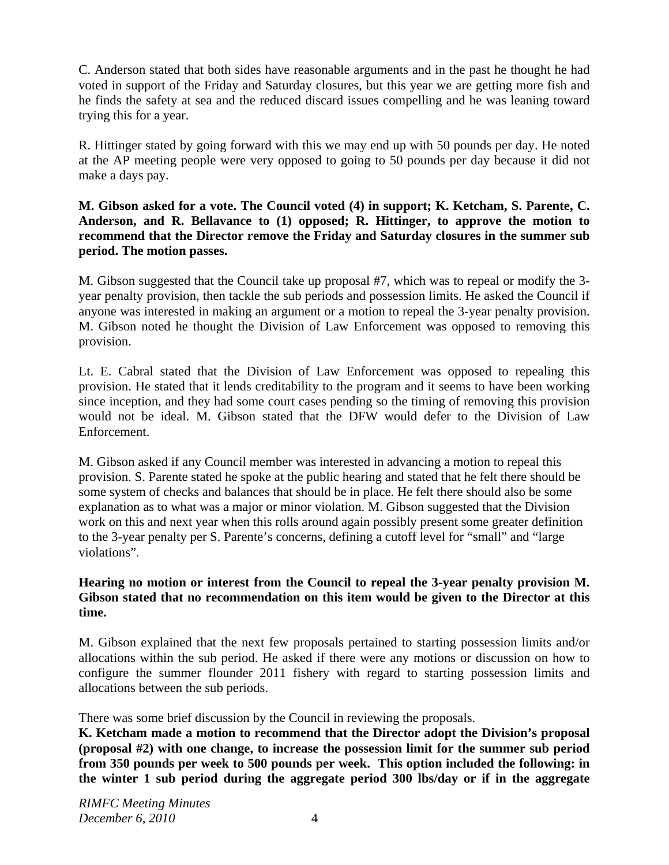C. Anderson stated that both sides have reasonable arguments and in the past he thought he had voted in support of the Friday and Saturday closures, but this year we are getting more fish and he finds the safety at sea and the reduced discard issues compelling and he was leaning toward trying this for a year.

R. Hittinger stated by going forward with this we may end up with 50 pounds per day. He noted at the AP meeting people were very opposed to going to 50 pounds per day because it did not make a days pay.

**M. Gibson asked for a vote. The Council voted (4) in support; K. Ketcham, S. Parente, C. Anderson, and R. Bellavance to (1) opposed; R. Hittinger, to approve the motion to recommend that the Director remove the Friday and Saturday closures in the summer sub period. The motion passes.** 

M. Gibson suggested that the Council take up proposal #7, which was to repeal or modify the 3 year penalty provision, then tackle the sub periods and possession limits. He asked the Council if anyone was interested in making an argument or a motion to repeal the 3-year penalty provision. M. Gibson noted he thought the Division of Law Enforcement was opposed to removing this provision.

Lt. E. Cabral stated that the Division of Law Enforcement was opposed to repealing this provision. He stated that it lends creditability to the program and it seems to have been working since inception, and they had some court cases pending so the timing of removing this provision would not be ideal. M. Gibson stated that the DFW would defer to the Division of Law Enforcement.

M. Gibson asked if any Council member was interested in advancing a motion to repeal this provision. S. Parente stated he spoke at the public hearing and stated that he felt there should be some system of checks and balances that should be in place. He felt there should also be some explanation as to what was a major or minor violation. M. Gibson suggested that the Division work on this and next year when this rolls around again possibly present some greater definition to the 3-year penalty per S. Parente's concerns, defining a cutoff level for "small" and "large violations".

## **Hearing no motion or interest from the Council to repeal the 3-year penalty provision M. Gibson stated that no recommendation on this item would be given to the Director at this time.**

M. Gibson explained that the next few proposals pertained to starting possession limits and/or allocations within the sub period. He asked if there were any motions or discussion on how to configure the summer flounder 2011 fishery with regard to starting possession limits and allocations between the sub periods.

There was some brief discussion by the Council in reviewing the proposals.

**K. Ketcham made a motion to recommend that the Director adopt the Division's proposal (proposal #2) with one change, to increase the possession limit for the summer sub period from 350 pounds per week to 500 pounds per week. This option included the following: in the winter 1 sub period during the aggregate period 300 lbs/day or if in the aggregate**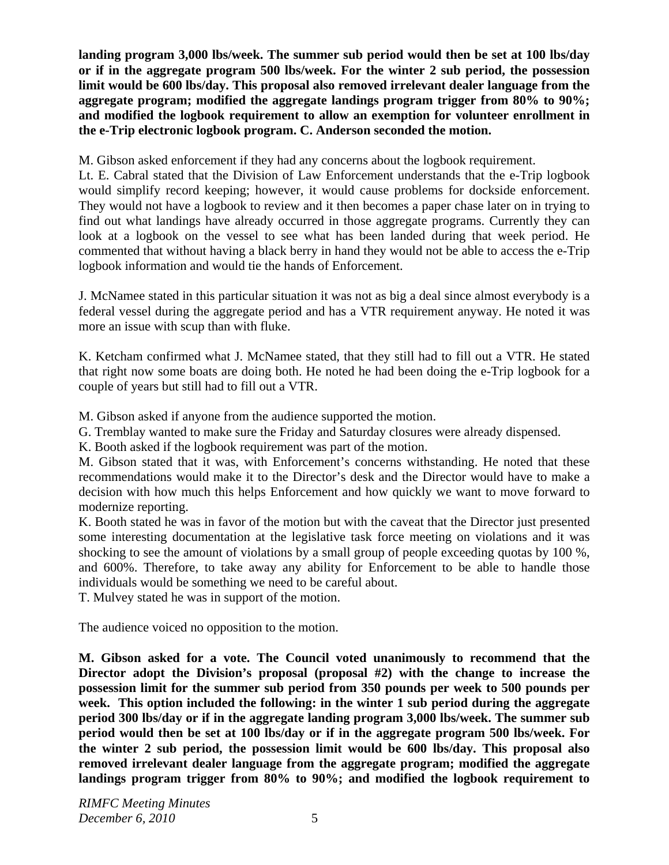**landing program 3,000 lbs/week. The summer sub period would then be set at 100 lbs/day or if in the aggregate program 500 lbs/week. For the winter 2 sub period, the possession limit would be 600 lbs/day. This proposal also removed irrelevant dealer language from the aggregate program; modified the aggregate landings program trigger from 80% to 90%; and modified the logbook requirement to allow an exemption for volunteer enrollment in the e-Trip electronic logbook program. C. Anderson seconded the motion.** 

M. Gibson asked enforcement if they had any concerns about the logbook requirement.

Lt. E. Cabral stated that the Division of Law Enforcement understands that the e-Trip logbook would simplify record keeping; however, it would cause problems for dockside enforcement. They would not have a logbook to review and it then becomes a paper chase later on in trying to find out what landings have already occurred in those aggregate programs. Currently they can look at a logbook on the vessel to see what has been landed during that week period. He commented that without having a black berry in hand they would not be able to access the e-Trip logbook information and would tie the hands of Enforcement.

J. McNamee stated in this particular situation it was not as big a deal since almost everybody is a federal vessel during the aggregate period and has a VTR requirement anyway. He noted it was more an issue with scup than with fluke.

K. Ketcham confirmed what J. McNamee stated, that they still had to fill out a VTR. He stated that right now some boats are doing both. He noted he had been doing the e-Trip logbook for a couple of years but still had to fill out a VTR.

M. Gibson asked if anyone from the audience supported the motion.

G. Tremblay wanted to make sure the Friday and Saturday closures were already dispensed.

K. Booth asked if the logbook requirement was part of the motion.

M. Gibson stated that it was, with Enforcement's concerns withstanding. He noted that these recommendations would make it to the Director's desk and the Director would have to make a decision with how much this helps Enforcement and how quickly we want to move forward to modernize reporting.

K. Booth stated he was in favor of the motion but with the caveat that the Director just presented some interesting documentation at the legislative task force meeting on violations and it was shocking to see the amount of violations by a small group of people exceeding quotas by 100 %, and 600%. Therefore, to take away any ability for Enforcement to be able to handle those individuals would be something we need to be careful about.

T. Mulvey stated he was in support of the motion.

The audience voiced no opposition to the motion.

**M. Gibson asked for a vote. The Council voted unanimously to recommend that the Director adopt the Division's proposal (proposal #2) with the change to increase the possession limit for the summer sub period from 350 pounds per week to 500 pounds per week. This option included the following: in the winter 1 sub period during the aggregate period 300 lbs/day or if in the aggregate landing program 3,000 lbs/week. The summer sub period would then be set at 100 lbs/day or if in the aggregate program 500 lbs/week. For the winter 2 sub period, the possession limit would be 600 lbs/day. This proposal also removed irrelevant dealer language from the aggregate program; modified the aggregate landings program trigger from 80% to 90%; and modified the logbook requirement to**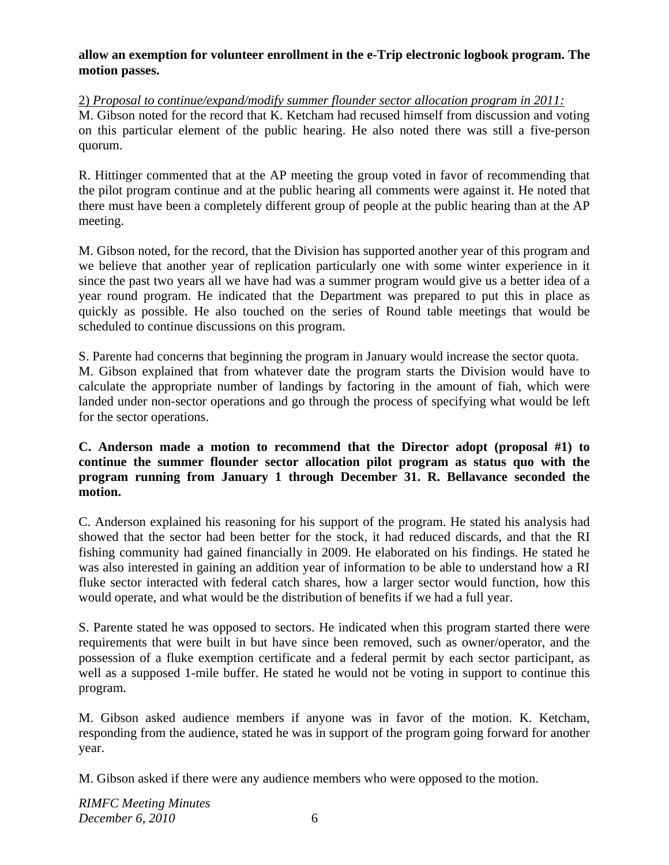**allow an exemption for volunteer enrollment in the e-Trip electronic logbook program. The motion passes.** 

2) *Proposal to continue/expand/modify summer flounder sector allocation program in 2011:* M. Gibson noted for the record that K. Ketcham had recused himself from discussion and voting on this particular element of the public hearing. He also noted there was still a five-person quorum.

R. Hittinger commented that at the AP meeting the group voted in favor of recommending that the pilot program continue and at the public hearing all comments were against it. He noted that there must have been a completely different group of people at the public hearing than at the AP meeting.

M. Gibson noted, for the record, that the Division has supported another year of this program and we believe that another year of replication particularly one with some winter experience in it since the past two years all we have had was a summer program would give us a better idea of a year round program. He indicated that the Department was prepared to put this in place as quickly as possible. He also touched on the series of Round table meetings that would be scheduled to continue discussions on this program.

S. Parente had concerns that beginning the program in January would increase the sector quota.

M. Gibson explained that from whatever date the program starts the Division would have to calculate the appropriate number of landings by factoring in the amount of fiah, which were landed under non-sector operations and go through the process of specifying what would be left for the sector operations.

## **C. Anderson made a motion to recommend that the Director adopt (proposal #1) to continue the summer flounder sector allocation pilot program as status quo with the program running from January 1 through December 31. R. Bellavance seconded the motion.**

C. Anderson explained his reasoning for his support of the program. He stated his analysis had showed that the sector had been better for the stock, it had reduced discards, and that the RI fishing community had gained financially in 2009. He elaborated on his findings. He stated he was also interested in gaining an addition year of information to be able to understand how a RI fluke sector interacted with federal catch shares, how a larger sector would function, how this would operate, and what would be the distribution of benefits if we had a full year.

S. Parente stated he was opposed to sectors. He indicated when this program started there were requirements that were built in but have since been removed, such as owner/operator, and the possession of a fluke exemption certificate and a federal permit by each sector participant, as well as a supposed 1-mile buffer. He stated he would not be voting in support to continue this program.

M. Gibson asked audience members if anyone was in favor of the motion. K. Ketcham, responding from the audience, stated he was in support of the program going forward for another year.

M. Gibson asked if there were any audience members who were opposed to the motion.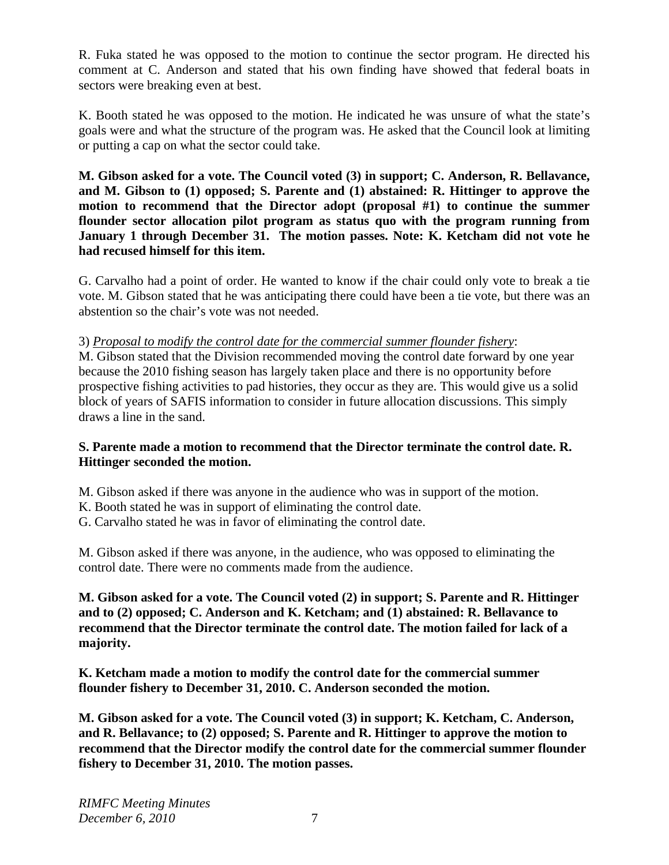R. Fuka stated he was opposed to the motion to continue the sector program. He directed his comment at C. Anderson and stated that his own finding have showed that federal boats in sectors were breaking even at best.

K. Booth stated he was opposed to the motion. He indicated he was unsure of what the state's goals were and what the structure of the program was. He asked that the Council look at limiting or putting a cap on what the sector could take.

**M. Gibson asked for a vote. The Council voted (3) in support; C. Anderson, R. Bellavance, and M. Gibson to (1) opposed; S. Parente and (1) abstained: R. Hittinger to approve the motion to recommend that the Director adopt (proposal #1) to continue the summer flounder sector allocation pilot program as status quo with the program running from January 1 through December 31. The motion passes. Note: K. Ketcham did not vote he had recused himself for this item.**

G. Carvalho had a point of order. He wanted to know if the chair could only vote to break a tie vote. M. Gibson stated that he was anticipating there could have been a tie vote, but there was an abstention so the chair's vote was not needed.

## 3) *Proposal to modify the control date for the commercial summer flounder fishery*:

M. Gibson stated that the Division recommended moving the control date forward by one year because the 2010 fishing season has largely taken place and there is no opportunity before prospective fishing activities to pad histories, they occur as they are. This would give us a solid block of years of SAFIS information to consider in future allocation discussions. This simply draws a line in the sand.

## **S. Parente made a motion to recommend that the Director terminate the control date. R. Hittinger seconded the motion.**

M. Gibson asked if there was anyone in the audience who was in support of the motion.

- K. Booth stated he was in support of eliminating the control date.
- G. Carvalho stated he was in favor of eliminating the control date.

M. Gibson asked if there was anyone, in the audience, who was opposed to eliminating the control date. There were no comments made from the audience.

**M. Gibson asked for a vote. The Council voted (2) in support; S. Parente and R. Hittinger and to (2) opposed; C. Anderson and K. Ketcham; and (1) abstained: R. Bellavance to recommend that the Director terminate the control date. The motion failed for lack of a majority.** 

**K. Ketcham made a motion to modify the control date for the commercial summer flounder fishery to December 31, 2010. C. Anderson seconded the motion.** 

**M. Gibson asked for a vote. The Council voted (3) in support; K. Ketcham, C. Anderson, and R. Bellavance; to (2) opposed; S. Parente and R. Hittinger to approve the motion to recommend that the Director modify the control date for the commercial summer flounder fishery to December 31, 2010. The motion passes.**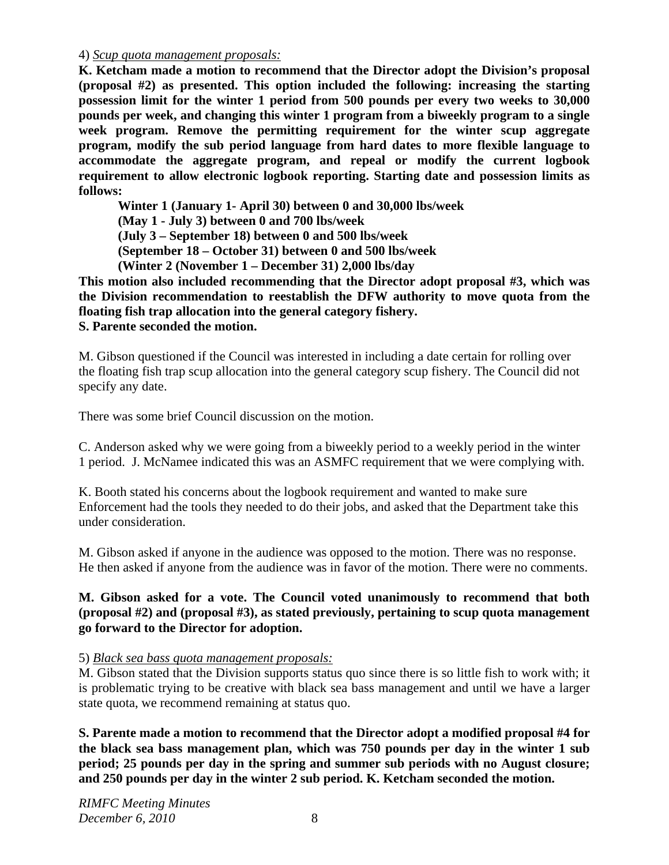#### 4) *Scup quota management proposals:*

**K. Ketcham made a motion to recommend that the Director adopt the Division's proposal (proposal #2) as presented. This option included the following: increasing the starting possession limit for the winter 1 period from 500 pounds per every two weeks to 30,000 pounds per week, and changing this winter 1 program from a biweekly program to a single week program. Remove the permitting requirement for the winter scup aggregate program, modify the sub period language from hard dates to more flexible language to accommodate the aggregate program, and repeal or modify the current logbook requirement to allow electronic logbook reporting. Starting date and possession limits as follows:** 

 **Winter 1 (January 1- April 30) between 0 and 30,000 lbs/week** 

 **(May 1 - July 3) between 0 and 700 lbs/week** 

 **(July 3 – September 18) between 0 and 500 lbs/week** 

 **(September 18 – October 31) between 0 and 500 lbs/week** 

 **(Winter 2 (November 1 – December 31) 2,000 lbs/day** 

**This motion also included recommending that the Director adopt proposal #3, which was the Division recommendation to reestablish the DFW authority to move quota from the floating fish trap allocation into the general category fishery. S. Parente seconded the motion.**

M. Gibson questioned if the Council was interested in including a date certain for rolling over the floating fish trap scup allocation into the general category scup fishery. The Council did not specify any date.

There was some brief Council discussion on the motion.

C. Anderson asked why we were going from a biweekly period to a weekly period in the winter 1 period. J. McNamee indicated this was an ASMFC requirement that we were complying with.

K. Booth stated his concerns about the logbook requirement and wanted to make sure Enforcement had the tools they needed to do their jobs, and asked that the Department take this under consideration.

M. Gibson asked if anyone in the audience was opposed to the motion. There was no response. He then asked if anyone from the audience was in favor of the motion. There were no comments.

## **M. Gibson asked for a vote. The Council voted unanimously to recommend that both (proposal #2) and (proposal #3), as stated previously, pertaining to scup quota management go forward to the Director for adoption.**

#### 5) *Black sea bass quota management proposals:*

M. Gibson stated that the Division supports status quo since there is so little fish to work with; it is problematic trying to be creative with black sea bass management and until we have a larger state quota, we recommend remaining at status quo.

**S. Parente made a motion to recommend that the Director adopt a modified proposal #4 for the black sea bass management plan, which was 750 pounds per day in the winter 1 sub period; 25 pounds per day in the spring and summer sub periods with no August closure; and 250 pounds per day in the winter 2 sub period. K. Ketcham seconded the motion.**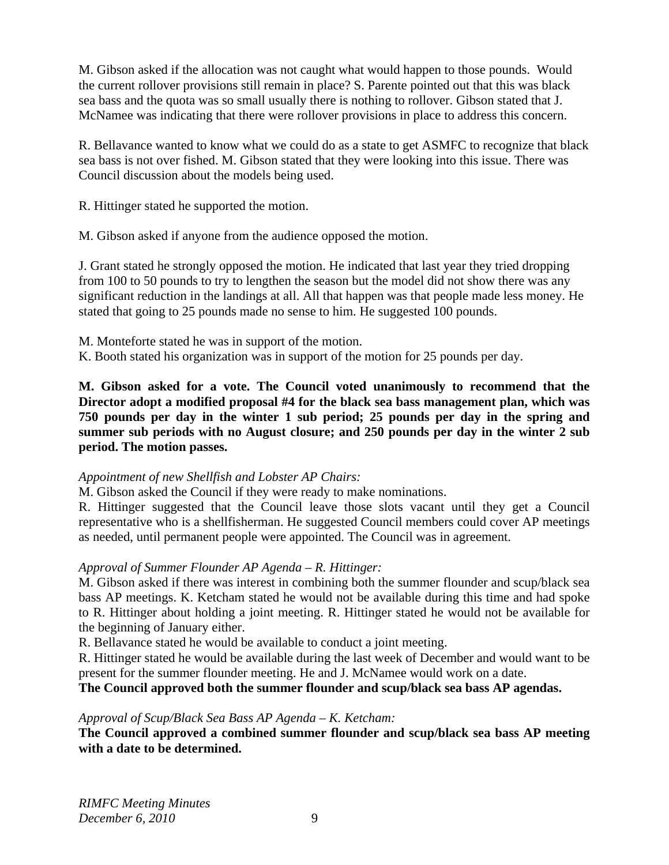M. Gibson asked if the allocation was not caught what would happen to those pounds. Would the current rollover provisions still remain in place? S. Parente pointed out that this was black sea bass and the quota was so small usually there is nothing to rollover. Gibson stated that J. McNamee was indicating that there were rollover provisions in place to address this concern.

R. Bellavance wanted to know what we could do as a state to get ASMFC to recognize that black sea bass is not over fished. M. Gibson stated that they were looking into this issue. There was Council discussion about the models being used.

R. Hittinger stated he supported the motion.

M. Gibson asked if anyone from the audience opposed the motion.

J. Grant stated he strongly opposed the motion. He indicated that last year they tried dropping from 100 to 50 pounds to try to lengthen the season but the model did not show there was any significant reduction in the landings at all. All that happen was that people made less money. He stated that going to 25 pounds made no sense to him. He suggested 100 pounds.

M. Monteforte stated he was in support of the motion.

K. Booth stated his organization was in support of the motion for 25 pounds per day.

**M. Gibson asked for a vote. The Council voted unanimously to recommend that the Director adopt a modified proposal #4 for the black sea bass management plan, which was 750 pounds per day in the winter 1 sub period; 25 pounds per day in the spring and summer sub periods with no August closure; and 250 pounds per day in the winter 2 sub period. The motion passes.** 

# *Appointment of new Shellfish and Lobster AP Chairs:*

M. Gibson asked the Council if they were ready to make nominations.

R. Hittinger suggested that the Council leave those slots vacant until they get a Council representative who is a shellfisherman. He suggested Council members could cover AP meetings as needed, until permanent people were appointed. The Council was in agreement.

# *Approval of Summer Flounder AP Agenda – R. Hittinger:*

M. Gibson asked if there was interest in combining both the summer flounder and scup/black sea bass AP meetings. K. Ketcham stated he would not be available during this time and had spoke to R. Hittinger about holding a joint meeting. R. Hittinger stated he would not be available for the beginning of January either.

R. Bellavance stated he would be available to conduct a joint meeting.

R. Hittinger stated he would be available during the last week of December and would want to be present for the summer flounder meeting. He and J. McNamee would work on a date.

**The Council approved both the summer flounder and scup/black sea bass AP agendas.** 

# *Approval of Scup/Black Sea Bass AP Agenda – K. Ketcham:*

**The Council approved a combined summer flounder and scup/black sea bass AP meeting with a date to be determined.**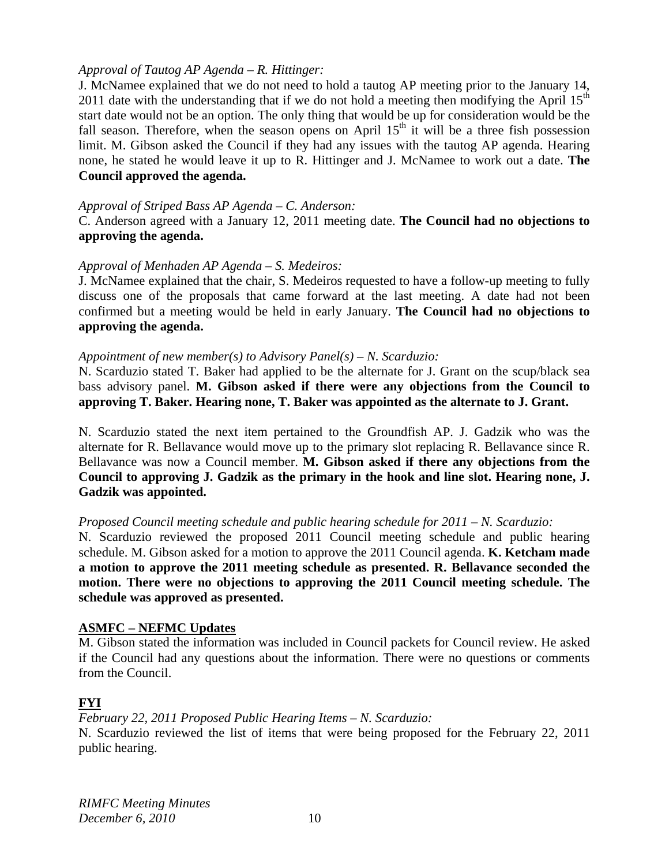#### *Approval of Tautog AP Agenda – R. Hittinger:*

J. McNamee explained that we do not need to hold a tautog AP meeting prior to the January 14, 2011 date with the understanding that if we do not hold a meeting then modifying the April  $15<sup>th</sup>$ start date would not be an option. The only thing that would be up for consideration would be the fall season. Therefore, when the season opens on April  $15<sup>th</sup>$  it will be a three fish possession limit. M. Gibson asked the Council if they had any issues with the tautog AP agenda. Hearing none, he stated he would leave it up to R. Hittinger and J. McNamee to work out a date. **The Council approved the agenda.**

#### *Approval of Striped Bass AP Agenda – C. Anderson:*

C. Anderson agreed with a January 12, 2011 meeting date. **The Council had no objections to approving the agenda.**

#### *Approval of Menhaden AP Agenda – S. Medeiros:*

J. McNamee explained that the chair, S. Medeiros requested to have a follow-up meeting to fully discuss one of the proposals that came forward at the last meeting. A date had not been confirmed but a meeting would be held in early January. **The Council had no objections to approving the agenda.**

#### *Appointment of new member(s) to Advisory Panel(s) – N. Scarduzio:*

N. Scarduzio stated T. Baker had applied to be the alternate for J. Grant on the scup/black sea bass advisory panel. **M. Gibson asked if there were any objections from the Council to approving T. Baker. Hearing none, T. Baker was appointed as the alternate to J. Grant.**

N. Scarduzio stated the next item pertained to the Groundfish AP. J. Gadzik who was the alternate for R. Bellavance would move up to the primary slot replacing R. Bellavance since R. Bellavance was now a Council member. **M. Gibson asked if there any objections from the Council to approving J. Gadzik as the primary in the hook and line slot. Hearing none, J. Gadzik was appointed.** 

#### *Proposed Council meeting schedule and public hearing schedule for 2011 – N. Scarduzio:*

N. Scarduzio reviewed the proposed 2011 Council meeting schedule and public hearing schedule. M. Gibson asked for a motion to approve the 2011 Council agenda. **K. Ketcham made a motion to approve the 2011 meeting schedule as presented. R. Bellavance seconded the motion. There were no objections to approving the 2011 Council meeting schedule. The schedule was approved as presented.** 

## **ASMFC – NEFMC Updates**

M. Gibson stated the information was included in Council packets for Council review. He asked if the Council had any questions about the information. There were no questions or comments from the Council.

## **FYI**

*February 22, 2011 Proposed Public Hearing Items – N. Scarduzio:*  N. Scarduzio reviewed the list of items that were being proposed for the February 22, 2011 public hearing.